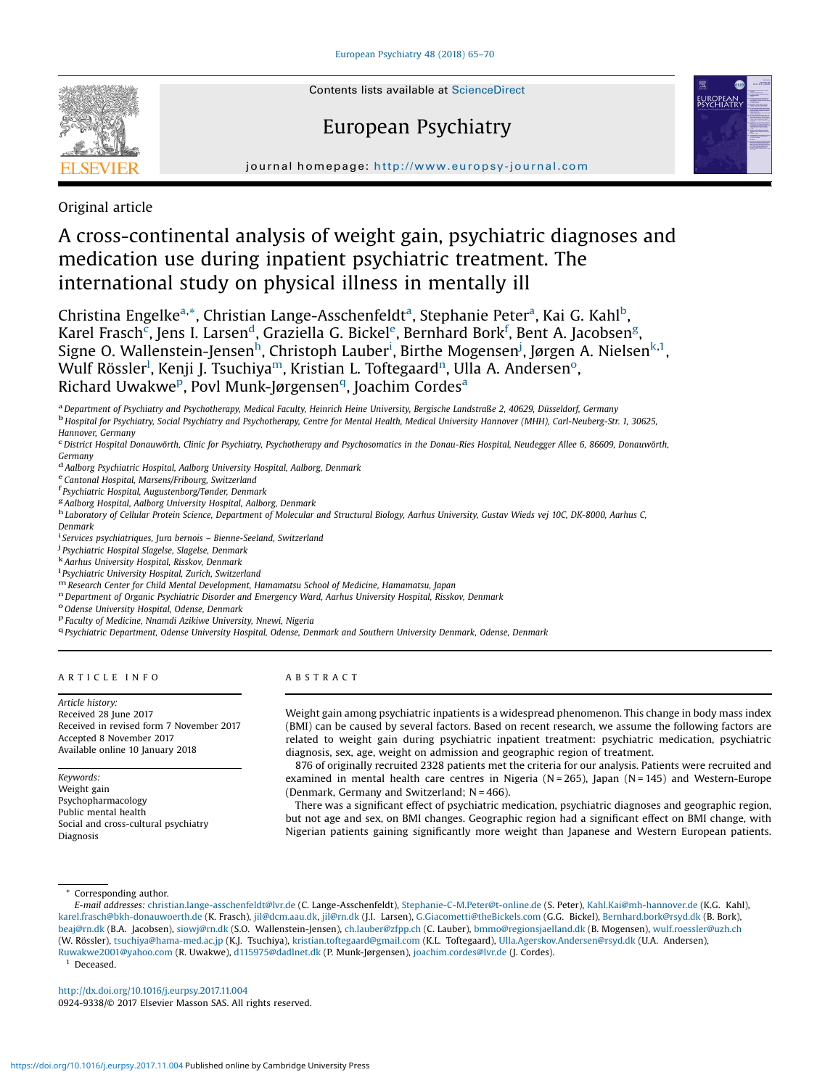

# European Psychiatry



journal homepage: <http://www.europsy-journal.com>

Original article

# A cross-continental analysis of weight gain, psychiatric diagnoses and medication use during inpatient psychiatric treatment. The international study on physical illness in mentally ill

Christina Engelke<sup>a,\*</sup>, Christian Lange-Asschenfeldt<sup>a</sup>, Stephanie Peter<sup>a</sup>, Kai G. Kahl<sup>b</sup>, Karel Frasch<sup>c</sup>, Jens I. Larsen<sup>d</sup>, Graziella G. Bickel<sup>e</sup>, Bernhard Bork<sup>f</sup>, Bent A. Jacobsen<sup>g</sup>, Signe O. Wallenstein-Jensen<sup>h</sup>, Christoph Lauber<sup>i</sup>, Birthe Mogensen<sup>j</sup>, Jørgen A. Nielsen<sup>k,1</sup>, Wulf Rössler<sup>l</sup>, Kenji J. Tsuchiya<sup>m</sup>, Kristian L. Toftegaard<sup>n</sup>, Ulla A. Andersen°, Richard Uwakwe<sup>p</sup>, Povl Munk-Jørgensen<sup>q</sup>, Joachim Cordes<sup>a</sup>

<sup>a</sup> Department of Psychiatry and Psychotherapy, Medical Faculty, Heinrich Heine University, Bergische Landstraße 2, 40629, Düsseldorf, Germany<br><sup>b</sup> Hospital for Psychiatry, Social Psychiatry and Psychotherapy, Centre for Me Hannover, Germany<br><sup>c</sup> District Hospital Donauwörth, Clinic for Psychiatry, Psychotherapy and Psychosomatics in the Donau-Ries Hospital, Neudegger Allee 6, 86609, Donauwörth,

Germany

d Aalborg Psychiatric Hospital, Aalborg University Hospital, Aalborg, Denmark eCantonal Hospital, Marsens/Fribourg, Switzerland f<br>Psychiatric Hospital, Augustenborg/Tønder, Denmark f<br>Psychiatric Hospital, Augustenborg/Tøn

<sup>g</sup> Aalborg Hospital, Aalborg University Hospital, Aalborg, Denmark<br><sup>h</sup> Laboratory of Cellular Protein Science, Department of Molecular and Structural Biology, Aarhus University, Gustav Wieds vej 10C, DK-8000, Aarhus C,

Denmark

<sup>i</sup> Services psychiatriques, Jura bernois – Bienne-Seeland, Switzerland<br><sup>j p</sup>sychiatric Hospital Slagelse, Slagelse, Denmark

<sup>3</sup> Psychiatric Hospital Slagelse, Slagelse, Denmark<br><sup>k</sup>Aarhus University Hospital, Risskov, Denmark<br><sup>1</sup> Psychiatric University Hospital, Zurich, Switzerland

m Research Center for Child Mental Development, Hamamatsu School of Medicine, Hamamatsu, Japan<br>
" Department of Organic Psychiatric Disorder and Emergency Ward, Aarhus University Hospital, Risskov, Denmark<br>
<sup>o</sup> Odense Univ

A R T I C L E I N F O

Article history: Received 28 June 2017 Received in revised form 7 November 2017 Accepted 8 November 2017 Available online 10 January 2018

Keywords: Weight gain Psychopharmacology Public mental health Social and cross-cultural psychiatry Diagnosis

## A B S T R A C T

Weight gain among psychiatric inpatients is a widespread phenomenon. This change in body mass index (BMI) can be caused by several factors. Based on recent research, we assume the following factors are related to weight gain during psychiatric inpatient treatment: psychiatric medication, psychiatric diagnosis, sex, age, weight on admission and geographic region of treatment.

876 of originally recruited 2328 patients met the criteria for our analysis. Patients were recruited and examined in mental health care centres in Nigeria (N = 265), Japan (N = 145) and Western-Europe (Denmark, Germany and Switzerland; N = 466).

There was a significant effect of psychiatric medication, psychiatric diagnoses and geographic region, but not age and sex, on BMI changes. Geographic region had a significant effect on BMI change, with Nigerian patients gaining significantly more weight than Japanese and Western European patients.

Corresponding author.

E-mail addresses: [christian.lange-asschenfeldt@lvr.de](mailto:christian.lange-asschenfeldt@lvr.de) (C. Lange-Asschenfeldt), [Stephanie-C-M.Peter@t-online.de](mailto:Stephanie-C-M.Peter@t-online.de) (S. Peter), [Kahl.Kai@mh-hannover.de](mailto:Kahl.Kai@mh-hannover.de) (K.G. Kahl), [karel.frasch@bkh-donauwoerth.de](mailto:karel.frasch@bkh-donauwoerth.de) (K. Frasch), [jil@dcm.aau.dk](mailto:jil@dcm.aau.dk), [jil@rn.dk](mailto:jil@rn.dk) (J.I. Larsen), [G.Giacometti@theBickels.com](mailto:G.Giacometti@theBickels.com) (G.G. Bickel), [Bernhard.bork@rsyd.dk](mailto:Bernhard.bork@rsyd.dk) (B. Bork), [beaj@rn.dk](mailto:beaj@rn.dk) (B.A. Jacobsen), [siowj@rn.dk](mailto:siowj@rn.dk) (S.O. Wallenstein-Jensen), [ch.lauber@zfpp.ch](mailto:ch.lauber@zfpp.ch) (C. Lauber), [bmmo@regionsjaelland.dk](mailto:bmmo@regionsjaelland.dk) (B. Mogensen), [wulf.roessler@uzh.ch](mailto:wulf.roessler@uzh.ch) (W. Rössler), [tsuchiya@hama-med.ac.jp](mailto:tsuchiya@hama-med.ac.jp) (K.J. Tsuchiya), [kristian.toftegaard@gmail.com](mailto:kristian.toftegaard@gmail.com) (K.L. Toftegaard), [Ulla.Agerskov.Andersen@rsyd.dk](mailto:Ulla.Agerskov.Andersen@rsyd.dk) (U.A. Andersen), [Ruwakwe2001@yahoo.com](mailto:Ruwakwe2001@yahoo.com) (R. Uwakwe), [d115975@dadlnet.dk](mailto:d115975@dadlnet.dk) (P. Munk-Jørgensen), [joachim.cordes@lvr.de](mailto:joachim.cordes@lvr.de) (J. Cordes).

Deceased.

<http://dx.doi.org/10.1016/j.eurpsy.2017.11.004> 0924-9338/© 2017 Elsevier Masson SAS. All rights reserved.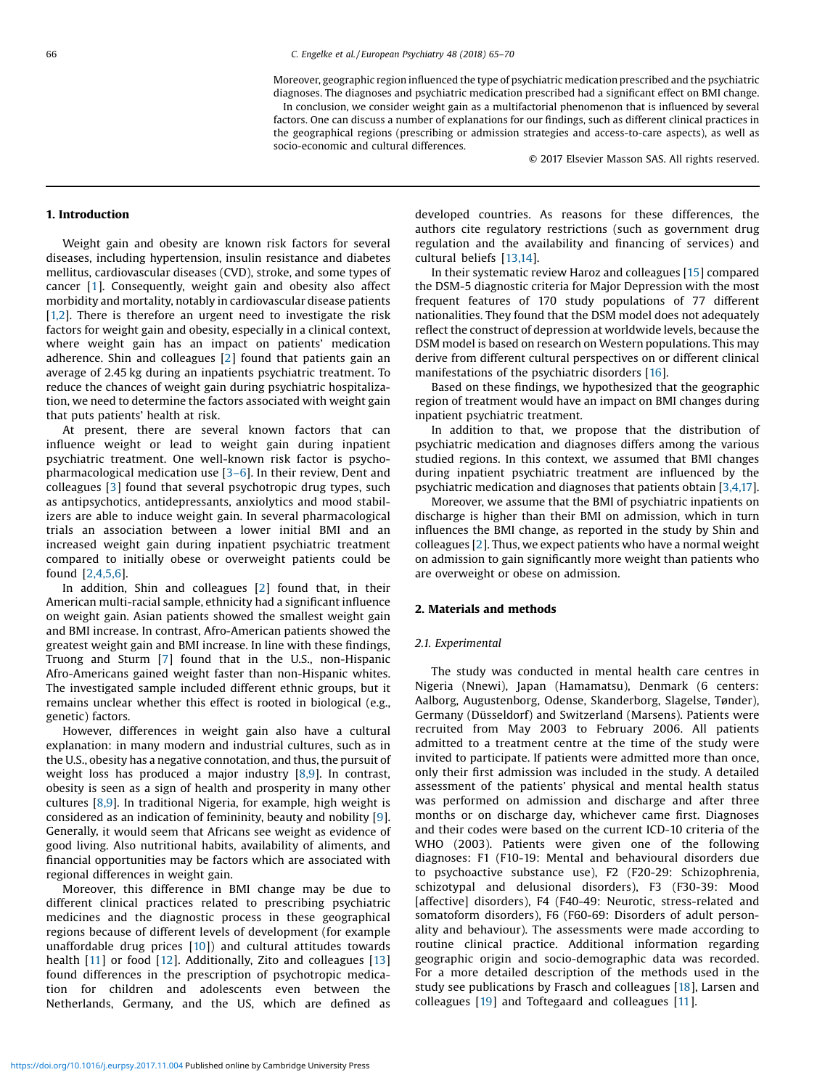Moreover, geographic region influenced the type of psychiatric medication prescribed and the psychiatric

diagnoses. The diagnoses and psychiatric medication prescribed had a significant effect on BMI change. In conclusion, we consider weight gain as a multifactorial phenomenon that is influenced by several factors. One can discuss a number of explanations for our findings, such as different clinical practices in the geographical regions (prescribing or admission strategies and access-to-care aspects), as well as socio-economic and cultural differences.

© 2017 Elsevier Masson SAS. All rights reserved.

## 1. Introduction

Weight gain and obesity are known risk factors for several diseases, including hypertension, insulin resistance and diabetes mellitus, cardiovascular diseases (CVD), stroke, and some types of cancer [[1](#page-5-0)]. Consequently, weight gain and obesity also affect morbidity and mortality, notably in cardiovascular disease patients  $[1,2]$  $[1,2]$ . There is therefore an urgent need to investigate the risk factors for weight gain and obesity, especially in a clinical context, where weight gain has an impact on patients' medication adherence. Shin and colleagues [[2\]](#page-5-0) found that patients gain an average of 2.45 kg during an inpatients psychiatric treatment. To reduce the chances of weight gain during psychiatric hospitalization, we need to determine the factors associated with weight gain that puts patients' health at risk.

At present, there are several known factors that can influence weight or lead to weight gain during inpatient psychiatric treatment. One well-known risk factor is psychopharmacological medication use [3–[6\]](#page-5-0). In their review, Dent and colleagues [\[3](#page-5-0)] found that several psychotropic drug types, such as antipsychotics, antidepressants, anxiolytics and mood stabilizers are able to induce weight gain. In several pharmacological trials an association between a lower initial BMI and an increased weight gain during inpatient psychiatric treatment compared to initially obese or overweight patients could be found [\[2,4,5,6\]](#page-5-0).

In addition, Shin and colleagues [[2\]](#page-5-0) found that, in their American multi-racial sample, ethnicity had a significant influence on weight gain. Asian patients showed the smallest weight gain and BMI increase. In contrast, Afro-American patients showed the greatest weight gain and BMI increase. In line with these findings, Truong and Sturm [\[7](#page-5-0)] found that in the U.S., non-Hispanic Afro-Americans gained weight faster than non-Hispanic whites. The investigated sample included different ethnic groups, but it remains unclear whether this effect is rooted in biological (e.g., genetic) factors.

However, differences in weight gain also have a cultural explanation: in many modern and industrial cultures, such as in the U.S., obesity has a negative connotation, and thus, the pursuit of weight loss has produced a major industry [\[8,9\]](#page-5-0). In contrast, obesity is seen as a sign of health and prosperity in many other cultures [[8,9](#page-5-0)]. In traditional Nigeria, for example, high weight is considered as an indication of femininity, beauty and nobility [[9\]](#page-5-0). Generally, it would seem that Africans see weight as evidence of good living. Also nutritional habits, availability of aliments, and financial opportunities may be factors which are associated with regional differences in weight gain.

Moreover, this difference in BMI change may be due to different clinical practices related to prescribing psychiatric medicines and the diagnostic process in these geographical regions because of different levels of development (for example unaffordable drug prices [[10](#page-5-0)]) and cultural attitudes towards health  $[11]$  $[11]$  or food  $[12]$  $[12]$  $[12]$ . Additionally, Zito and colleagues  $[13]$ found differences in the prescription of psychotropic medication for children and adolescents even between the Netherlands, Germany, and the US, which are defined as developed countries. As reasons for these differences, the authors cite regulatory restrictions (such as government drug regulation and the availability and financing of services) and cultural beliefs [[13,14](#page-5-0)].

In their systematic review Haroz and colleagues [\[15](#page-5-0)] compared the DSM-5 diagnostic criteria for Major Depression with the most frequent features of 170 study populations of 77 different nationalities. They found that the DSM model does not adequately reflect the construct of depression at worldwide levels, because the DSM model is based on research on Western populations. This may derive from different cultural perspectives on or different clinical manifestations of the psychiatric disorders [\[16\]](#page-5-0).

Based on these findings, we hypothesized that the geographic region of treatment would have an impact on BMI changes during inpatient psychiatric treatment.

In addition to that, we propose that the distribution of psychiatric medication and diagnoses differs among the various studied regions. In this context, we assumed that BMI changes during inpatient psychiatric treatment are influenced by the psychiatric medication and diagnoses that patients obtain [\[3,4,17\]](#page-5-0).

Moreover, we assume that the BMI of psychiatric inpatients on discharge is higher than their BMI on admission, which in turn influences the BMI change, as reported in the study by Shin and colleagues [\[2](#page-5-0)]. Thus, we expect patients who have a normal weight on admission to gain significantly more weight than patients who are overweight or obese on admission.

### 2. Materials and methods

#### 2.1. Experimental

The study was conducted in mental health care centres in Nigeria (Nnewi), Japan (Hamamatsu), Denmark (6 centers: Aalborg, Augustenborg, Odense, Skanderborg, Slagelse, Tønder), Germany (Düsseldorf) and Switzerland (Marsens). Patients were recruited from May 2003 to February 2006. All patients admitted to a treatment centre at the time of the study were invited to participate. If patients were admitted more than once, only their first admission was included in the study. A detailed assessment of the patients' physical and mental health status was performed on admission and discharge and after three months or on discharge day, whichever came first. Diagnoses and their codes were based on the current ICD-10 criteria of the WHO (2003). Patients were given one of the following diagnoses: F1 (F10-19: Mental and behavioural disorders due to psychoactive substance use), F2 (F20-29: Schizophrenia, schizotypal and delusional disorders), F3 (F30-39: Mood [affective] disorders), F4 (F40-49: Neurotic, stress-related and somatoform disorders), F6 (F60-69: Disorders of adult personality and behaviour). The assessments were made according to routine clinical practice. Additional information regarding geographic origin and socio-demographic data was recorded. For a more detailed description of the methods used in the study see publications by Frasch and colleagues [[18\]](#page-5-0), Larsen and colleagues [[19](#page-5-0)] and Toftegaard and colleagues [\[11](#page-5-0)].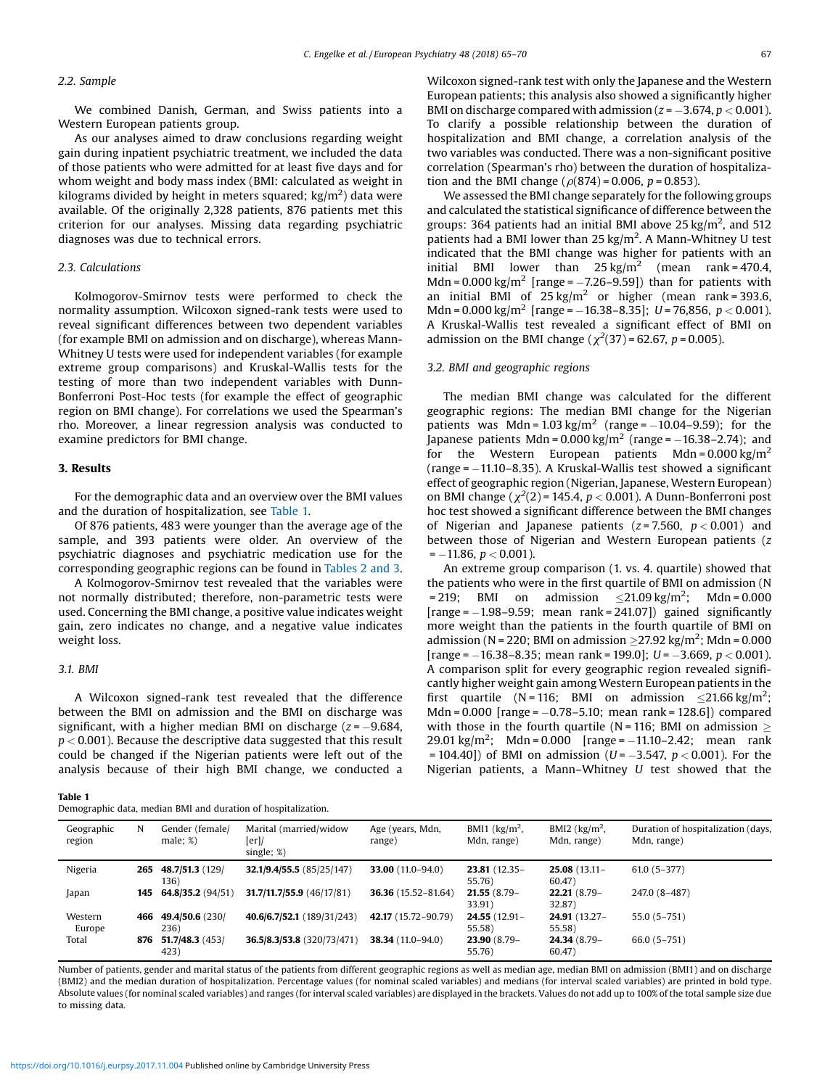#### 2.2. Sample

We combined Danish, German, and Swiss patients into a Western European patients group.

As our analyses aimed to draw conclusions regarding weight gain during inpatient psychiatric treatment, we included the data of those patients who were admitted for at least five days and for whom weight and body mass index (BMI: calculated as weight in kilograms divided by height in meters squared; kg/m<sup>2</sup>) data were available. Of the originally 2,328 patients, 876 patients met this criterion for our analyses. Missing data regarding psychiatric diagnoses was due to technical errors.

## 2.3. Calculations

Kolmogorov-Smirnov tests were performed to check the normality assumption. Wilcoxon signed-rank tests were used to reveal significant differences between two dependent variables (for example BMI on admission and on discharge), whereas Mann-Whitney U tests were used for independent variables (for example extreme group comparisons) and Kruskal-Wallis tests for the testing of more than two independent variables with Dunn-Bonferroni Post-Hoc tests (for example the effect of geographic region on BMI change). For correlations we used the Spearman's rho. Moreover, a linear regression analysis was conducted to examine predictors for BMI change.

## 3. Results

For the demographic data and an overview over the BMI values and the duration of hospitalization, see Table 1.

Of 876 patients, 483 were younger than the average age of the sample, and 393 patients were older. An overview of the psychiatric diagnoses and psychiatric medication use for the corresponding geographic regions can be found in [Tables](#page-3-0) 2 and 3.

A Kolmogorov-Smirnov test revealed that the variables were not normally distributed; therefore, non-parametric tests were used. Concerning the BMI change, a positive value indicates weight gain, zero indicates no change, and a negative value indicates weight loss.

### 3.1. BMI

A Wilcoxon signed-rank test revealed that the difference between the BMI on admission and the BMI on discharge was significant, with a higher median BMI on discharge  $(z = -9.684,$  $p < 0.001$ ). Because the descriptive data suggested that this result could be changed if the Nigerian patients were left out of the analysis because of their high BMI change, we conducted a

#### Table 1

Demographic data, median BMI and duration of hospitalization.

Wilcoxon signed-rank test with only the Japanese and the Western European patients; this analysis also showed a significantly higher BMI on discharge compared with admission ( $z = -3.674$ ,  $p < 0.001$ ). To clarify a possible relationship between the duration of hospitalization and BMI change, a correlation analysis of the two variables was conducted. There was a non-significant positive correlation (Spearman's rho) between the duration of hospitalization and the BMI change ( $\rho(874) = 0.006$ ,  $p = 0.853$ ).

We assessed the BMI change separately for the following groups and calculated the statistical significance of difference between the groups: 364 patients had an initial BMI above 25 kg/m<sup>2</sup>, and 512 patients had a BMI lower than  $25 \text{ kg/m}^2$ . A Mann-Whitney U test indicated that the BMI change was higher for patients with an initial BMI lower than  $25 \text{ kg/m}^2$  (mean rank = 470.4, Mdn =  $0.000 \text{ kg/m}^2$  [range =  $-7.26-9.59$ ]) than for patients with an initial BMI of  $25 \text{ kg/m}^2$  or higher (mean rank = 393.6, Mdn = 0.000 kg/m<sup>2</sup> [range = -16.38-8.35]; U = 76,856, p < 0.001). A Kruskal-Wallis test revealed a significant effect of BMI on admission on the BMI change ( $\chi^2(37)$  = 62.67, p = 0.005).

#### 3.2. BMI and geographic regions

The median BMI change was calculated for the different geographic regions: The median BMI change for the Nigerian patients was Mdn = 1.03 kg/m<sup>2</sup> (range =  $-10.04 - 9.59$ ); for the Japanese patients Mdn =  $0.000 \text{ kg/m}^2$  (range =  $-16.38 - 2.74$ ); and for the Western European patients Mdn =  $0.000 \text{ kg/m}^2$ (range  $= -11.10 - 8.35$ ). A Kruskal-Wallis test showed a significant effect of geographic region (Nigerian, Japanese, Western European) on BMI change ( $\chi^2(2)$  = 145.4,  $p < 0.001$ ). A Dunn-Bonferroni post hoc test showed a significant difference between the BMI changes of Nigerian and Japanese patients ( $z = 7.560$ ,  $p < 0.001$ ) and between those of Nigerian and Western European patients (z  $= -11.86$ ,  $p < 0.001$ ).

An extreme group comparison (1. vs. 4. quartile) showed that the patients who were in the first quartile of BMI on admission (N = 219; BMI on admission  $\leq$  21.09 kg/m<sup>2</sup>; Mdn = 0.000  $[\text{range} = -1.98 - 9.59; \text{mean} = 241.07]$  gained significantly more weight than the patients in the fourth quartile of BMI on admission (N = 220; BMI on admission  $\geq$ 27.92 kg/m<sup>2</sup>; Mdn = 0.000 [range =  $-16.38-8.35$ ; mean rank = 199.0];  $U = -3.669$ ,  $p < 0.001$ ). A comparison split for every geographic region revealed significantly higher weight gain among Western European patients in the first quartile (N = 116; BMI on admission  $\leq$  21.66 kg/m<sup>2</sup>; Mdn =  $0.000$  [range =  $-0.78-5.10$ ; mean rank =  $128.6$ ]) compared with those in the fourth quartile (N = 116; BMI on admission  $\geq$ 29.01 kg/m<sup>2</sup>; Mdn = 0.000 [range =  $-11.10-2.42$ ; mean rank = 104.40]) of BMI on admission (*U* =  $-3.547$ , *p* < 0.001). For the Nigerian patients, a Mann–Whitney U test showed that the

| Geographic<br>region | N   | Gender (female/<br>male: %  | Marital (married/widow<br>[er]/<br>single; $\%)$ | Age (years, Mdn,<br>range) | BMI1 $\frac{\text{kg}}{\text{m}^2}$ ,<br>Mdn, range) | BMI2 $\left(\frac{kg}{m^2}\right)$<br>Mdn, range) | Duration of hospitalization (days,<br>Mdn, range) |
|----------------------|-----|-----------------------------|--------------------------------------------------|----------------------------|------------------------------------------------------|---------------------------------------------------|---------------------------------------------------|
| Nigeria              |     | 265 48.7/51.3 (129/<br>136) | 32.1/9.4/55.5(85/25/147)                         | 33.00 $(11.0-94.0)$        | $23.81(12.35 -$<br>55.76)                            | $25.08(13.11 -$<br>60.47)                         | $61.0(5 - 377)$                                   |
| Japan                | 145 | 64.8/35.2 $(94/51)$         | 31.7/11.7/55.9(46/17/81)                         | 36.36 (15.52-81.64)        | $21.55(8.79 -$<br>33.91)                             | $22.21(8.79 -$<br>32.87)                          | 247.0 (8-487)                                     |
| Western<br>Europe    | 466 | 49.4/50.6 (230/<br>236)     | 40.6/6.7/52.1 (189/31/243)                       | 42.17 (15.72-90.79)        | $24.55(12.91 -$<br>55.58)                            | 24.91 (13.27-<br>55.58)                           | $55.0(5 - 751)$                                   |
| Total                | 876 | 51.7/48.3(453)<br>423)      | 36.5/8.3/53.8 (320/73/471)                       | 38.34 (11.0-94.0)          | $23.90(8.79 -$<br>55.76)                             | 24.34 (8.79-<br>60.47                             | $66.0(5-751)$                                     |

Number of patients, gender and marital status of the patients from different geographic regions as well as median age, median BMI on admission (BMI1) and on discharge (BMI2) and the median duration of hospitalization. Percentage values (for nominal scaled variables) and medians (for interval scaled variables) are printed in bold type. Absolute values (for nominal scaled variables) and ranges (for interval scaled variables) are displayed in the brackets. Values do not add up to 100% of the total sample size due to missing data.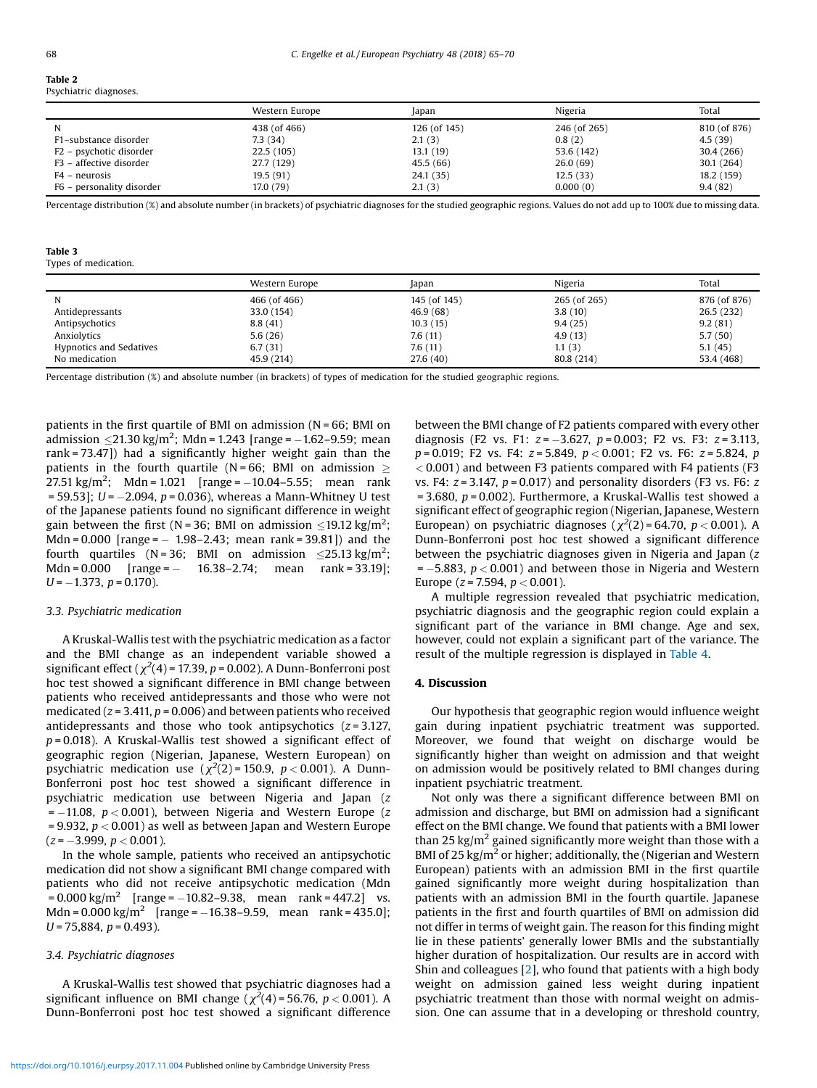<span id="page-3-0"></span>Table 2

#### Psychiatric diagnoses.

|                           | Western Europe | Japan        | Nigeria      | Total        |
|---------------------------|----------------|--------------|--------------|--------------|
| N                         | 438 (of 466)   | 126 (of 145) | 246 (of 265) | 810 (of 876) |
| F1-substance disorder     | 7.3 (34)       | 2.1(3)       | 0.8(2)       | 4.5(39)      |
| F2 - psychotic disorder   | 22.5(105)      | 13.1(19)     | 53.6 (142)   | 30.4 (266)   |
| F3 - affective disorder   | 27.7 (129)     | 45.5(66)     | 26.0(69)     | 30.1 (264)   |
| F4 – neurosis             | 19.5(91)       | 24.1 (35)    | 12.5(33)     | 18.2 (159)   |
| F6 – personality disorder | 17.0 (79)      | 2.1(3)       | 0.000(0)     | 9.4(82)      |

Percentage distribution (%) and absolute number (in brackets) of psychiatric diagnoses for the studied geographic regions. Values do not add up to 100% due to missing data.

## Table 3

Types of medication.

|                                | Western Europe | Japan        | Nigeria      | Total        |
|--------------------------------|----------------|--------------|--------------|--------------|
| N                              | 466 (of 466)   | 145 (of 145) | 265 (of 265) | 876 (of 876) |
| Antidepressants                | 33.0 (154)     | 46.9(68)     | 3.8(10)      | 26.5(232)    |
| Antipsychotics                 | 8.8(41)        | 10.3(15)     | 9.4(25)      | 9.2(81)      |
| Anxiolytics                    | 5.6(26)        | 7.6(11)      | 4.9(13)      | 5.7(50)      |
| <b>Hypnotics and Sedatives</b> | 6.7(31)        | 7.6(11)      | 1.1(3)       | 5.1(45)      |
| No medication                  | 45.9 (214)     | 27.6 (40)    | 80.8 (214)   | 53.4 (468)   |

Percentage distribution (%) and absolute number (in brackets) of types of medication for the studied geographic regions.

patients in the first quartile of BMI on admission (N = 66; BMI on admission  $\leq$ 21.30 kg/m<sup>2</sup>; Mdn = 1.243 [range = -1.62-9.59; mean rank = 73.47]) had a significantly higher weight gain than the patients in the fourth quartile ( $N = 66$ ; BMI on admission  $>$ 27.51 kg/m<sup>2</sup>; Mdn = 1.021 [range =  $-10.04 - 5.55$ ; mean rank  $= 59.53$ ];  $U = -2.094$ ,  $p = 0.036$ ), whereas a Mann-Whitney U test of the Japanese patients found no significant difference in weight gain between the first (N = 36; BMI on admission  $\leq$  19.12 kg/m<sup>2</sup>; Mdn =  $0.000$  [range =  $-1.98 - 2.43$ ; mean rank =  $39.81$ ]) and the fourth quartiles (N=36; BMI on admission  $\leq$ 25.13 kg/m<sup>2</sup>; Mdn =  $0.000$  [range =  $-$  16.38–2.74; mean rank = 33.19];  $U = -1.373$ ,  $p = 0.170$ ).

#### 3.3. Psychiatric medication

A Kruskal-Wallis test with the psychiatric medication as a factor and the BMI change as an independent variable showed a significant effect ( $\chi^2(4)$  = 17.39, p = 0.002). A Dunn-Bonferroni post hoc test showed a significant difference in BMI change between patients who received antidepressants and those who were not medicated ( $z = 3.411$ ,  $p = 0.006$ ) and between patients who received antidepressants and those who took antipsychotics  $(z = 3.127,$  $p = 0.018$ ). A Kruskal-Wallis test showed a significant effect of geographic region (Nigerian, Japanese, Western European) on psychiatric medication use  $(\chi^2(2) = 150.9, p < 0.001)$ . A Dunn-Bonferroni post hoc test showed a significant difference in psychiatric medication use between Nigeria and Japan (z  $= -11.08$ ,  $p < 0.001$ ), between Nigeria and Western Europe (z = 9.932,  $p < 0.001$ ) as well as between Japan and Western Europe  $(z = -3.999, p < 0.001)$ .

In the whole sample, patients who received an antipsychotic medication did not show a significant BMI change compared with patients who did not receive antipsychotic medication (Mdn  $= 0.000 \text{ kg/m}^2$  [range = -10.82-9.38, mean rank = 447.2] vs. Mdn =  $0.000 \text{ kg/m}^2$  [range =  $-16.38 - 9.59$ , mean rank = 435.0];  $U = 75,884, p = 0.493$ .

## 3.4. Psychiatric diagnoses

A Kruskal-Wallis test showed that psychiatric diagnoses had a significant influence on BMI change ( $\chi^2(4)$ =56.76, p < 0.001). A Dunn-Bonferroni post hoc test showed a significant difference between the BMI change of F2 patients compared with every other diagnosis (F2 vs. F1:  $z = -3.627$ ,  $p = 0.003$ ; F2 vs. F3:  $z = 3.113$ ,  $p = 0.019$ ; F2 vs. F4:  $z = 5.849$ ,  $p < 0.001$ ; F2 vs. F6:  $z = 5.824$ , p  $<$  0.001) and between F3 patients compared with F4 patients (F3 vs. F4:  $z = 3.147$ ,  $p = 0.017$ ) and personality disorders (F3 vs. F6:  $z$  $= 3.680$ ,  $p = 0.002$ ). Furthermore, a Kruskal-Wallis test showed a significant effect of geographic region (Nigerian, Japanese, Western European) on psychiatric diagnoses  $(\chi^2(2) = 64.70, p < 0.001)$ . A Dunn-Bonferroni post hoc test showed a significant difference between the psychiatric diagnoses given in Nigeria and Japan (z  $= -5.883$ ,  $p < 0.001$ ) and between those in Nigeria and Western Europe ( $z = 7.594$ ,  $p < 0.001$ ).

A multiple regression revealed that psychiatric medication, psychiatric diagnosis and the geographic region could explain a significant part of the variance in BMI change. Age and sex, however, could not explain a significant part of the variance. The result of the multiple regression is displayed in [Table](#page-4-0) 4.

#### 4. Discussion

Our hypothesis that geographic region would influence weight gain during inpatient psychiatric treatment was supported. Moreover, we found that weight on discharge would be significantly higher than weight on admission and that weight on admission would be positively related to BMI changes during inpatient psychiatric treatment.

Not only was there a significant difference between BMI on admission and discharge, but BMI on admission had a significant effect on the BMI change. We found that patients with a BMI lower than 25 kg/m<sup>2</sup> gained significantly more weight than those with a BMI of 25 kg/ $m<sup>2</sup>$  or higher; additionally, the (Nigerian and Western European) patients with an admission BMI in the first quartile gained significantly more weight during hospitalization than patients with an admission BMI in the fourth quartile. Japanese patients in the first and fourth quartiles of BMI on admission did not differ in terms of weight gain. The reason for this finding might lie in these patients' generally lower BMIs and the substantially higher duration of hospitalization. Our results are in accord with Shin and colleagues [\[2](#page-5-0)], who found that patients with a high body weight on admission gained less weight during inpatient psychiatric treatment than those with normal weight on admission. One can assume that in a developing or threshold country,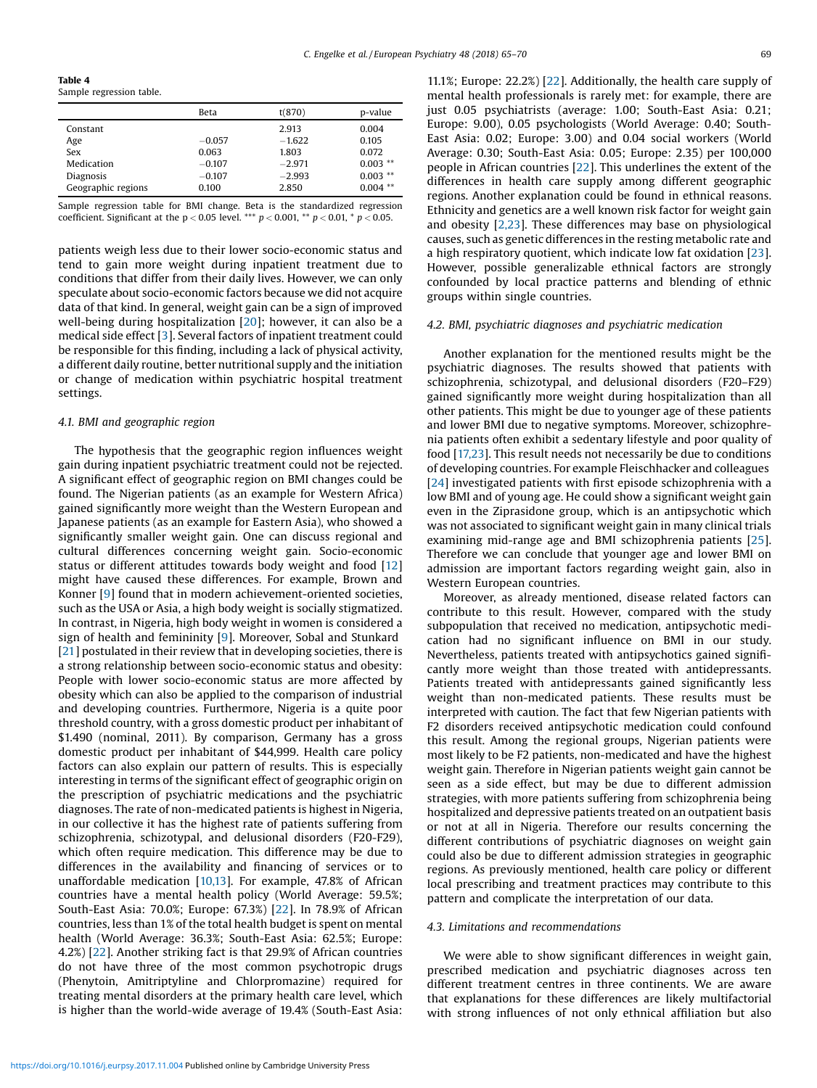<span id="page-4-0"></span>Table 4

Sample regression table.

|                    | <b>Beta</b> | t(870)   | p-value    |
|--------------------|-------------|----------|------------|
| Constant           |             | 2.913    | 0.004      |
| Age                | $-0.057$    | $-1.622$ | 0.105      |
| Sex                | 0.063       | 1.803    | 0.072      |
| Medication         | $-0.107$    | $-2.971$ | $0.003$ ** |
| <b>Diagnosis</b>   | $-0.107$    | $-2.993$ | $0.003$ ** |
| Geographic regions | 0.100       | 2.850    | $0.004$ ** |

Sample regression table for BMI change. Beta is the standardized regression coefficient. Significant at the  $p < 0.05$  level. \*\*\*  $p < 0.001$ , \*\*  $p < 0.01$ , \*  $p < 0.05$ .

patients weigh less due to their lower socio-economic status and tend to gain more weight during inpatient treatment due to conditions that differ from their daily lives. However, we can only speculate about socio-economic factors because we did not acquire data of that kind. In general, weight gain can be a sign of improved well-being during hospitalization [[20](#page-5-0)]; however, it can also be a medical side effect [[3\]](#page-5-0). Several factors of inpatient treatment could be responsible for this finding, including a lack of physical activity, a different daily routine, better nutritional supply and the initiation or change of medication within psychiatric hospital treatment settings.

## 4.1. BMI and geographic region

The hypothesis that the geographic region influences weight gain during inpatient psychiatric treatment could not be rejected. A significant effect of geographic region on BMI changes could be found. The Nigerian patients (as an example for Western Africa) gained significantly more weight than the Western European and Japanese patients (as an example for Eastern Asia), who showed a significantly smaller weight gain. One can discuss regional and cultural differences concerning weight gain. Socio-economic status or different attitudes towards body weight and food [\[12](#page-5-0)] might have caused these differences. For example, Brown and Konner [[9\]](#page-5-0) found that in modern achievement-oriented societies, such as the USA or Asia, a high body weight is socially stigmatized. In contrast, in Nigeria, high body weight in women is considered a sign of health and femininity [[9](#page-5-0)]. Moreover, Sobal and Stunkard [[21](#page-5-0)] postulated in their review that in developing societies, there is a strong relationship between socio-economic status and obesity: People with lower socio-economic status are more affected by obesity which can also be applied to the comparison of industrial and developing countries. Furthermore, Nigeria is a quite poor threshold country, with a gross domestic product per inhabitant of \$1.490 (nominal, 2011). By comparison, Germany has a gross domestic product per inhabitant of \$44,999. Health care policy factors can also explain our pattern of results. This is especially interesting in terms of the significant effect of geographic origin on the prescription of psychiatric medications and the psychiatric diagnoses. The rate of non-medicated patients is highest in Nigeria, in our collective it has the highest rate of patients suffering from schizophrenia, schizotypal, and delusional disorders (F20-F29), which often require medication. This difference may be due to differences in the availability and financing of services or to unaffordable medication [[10,13](#page-5-0)]. For example, 47.8% of African countries have a mental health policy (World Average: 59.5%; South-East Asia: 70.0%; Europe: 67.3%) [[22\]](#page-5-0). In 78.9% of African countries, less than 1% of the total health budget is spent on mental health (World Average: 36.3%; South-East Asia: 62.5%; Europe: 4.2%) [[22](#page-5-0)]. Another striking fact is that 29.9% of African countries do not have three of the most common psychotropic drugs (Phenytoin, Amitriptyline and Chlorpromazine) required for treating mental disorders at the primary health care level, which is higher than the world-wide average of 19.4% (South-East Asia:

11.1%; Europe: 22.2%) [[22](#page-5-0)]. Additionally, the health care supply of mental health professionals is rarely met: for example, there are just 0.05 psychiatrists (average: 1.00; South-East Asia: 0.21; Europe: 9.00), 0.05 psychologists (World Average: 0.40; South-East Asia: 0.02; Europe: 3.00) and 0.04 social workers (World Average: 0.30; South-East Asia: 0.05; Europe: 2.35) per 100,000 people in African countries [\[22](#page-5-0)]. This underlines the extent of the differences in health care supply among different geographic regions. Another explanation could be found in ethnical reasons. Ethnicity and genetics are a well known risk factor for weight gain and obesity [\[2,23\]](#page-5-0). These differences may base on physiological causes, such as genetic differences in the resting metabolic rate and a high respiratory quotient, which indicate low fat oxidation [[23](#page-5-0)]. However, possible generalizable ethnical factors are strongly confounded by local practice patterns and blending of ethnic groups within single countries.

#### 4.2. BMI, psychiatric diagnoses and psychiatric medication

Another explanation for the mentioned results might be the psychiatric diagnoses. The results showed that patients with schizophrenia, schizotypal, and delusional disorders (F20–F29) gained significantly more weight during hospitalization than all other patients. This might be due to younger age of these patients and lower BMI due to negative symptoms. Moreover, schizophrenia patients often exhibit a sedentary lifestyle and poor quality of food [[17,23](#page-5-0)]. This result needs not necessarily be due to conditions of developing countries. For example Fleischhacker and colleagues [\[24](#page-5-0)] investigated patients with first episode schizophrenia with a low BMI and of young age. He could show a significant weight gain even in the Ziprasidone group, which is an antipsychotic which was not associated to significant weight gain in many clinical trials examining mid-range age and BMI schizophrenia patients [[25](#page-5-0)]. Therefore we can conclude that younger age and lower BMI on admission are important factors regarding weight gain, also in Western European countries.

Moreover, as already mentioned, disease related factors can contribute to this result. However, compared with the study subpopulation that received no medication, antipsychotic medication had no significant influence on BMI in our study. Nevertheless, patients treated with antipsychotics gained significantly more weight than those treated with antidepressants. Patients treated with antidepressants gained significantly less weight than non-medicated patients. These results must be interpreted with caution. The fact that few Nigerian patients with F2 disorders received antipsychotic medication could confound this result. Among the regional groups, Nigerian patients were most likely to be F2 patients, non-medicated and have the highest weight gain. Therefore in Nigerian patients weight gain cannot be seen as a side effect, but may be due to different admission strategies, with more patients suffering from schizophrenia being hospitalized and depressive patients treated on an outpatient basis or not at all in Nigeria. Therefore our results concerning the different contributions of psychiatric diagnoses on weight gain could also be due to different admission strategies in geographic regions. As previously mentioned, health care policy or different local prescribing and treatment practices may contribute to this pattern and complicate the interpretation of our data.

#### 4.3. Limitations and recommendations

We were able to show significant differences in weight gain, prescribed medication and psychiatric diagnoses across ten different treatment centres in three continents. We are aware that explanations for these differences are likely multifactorial with strong influences of not only ethnical affiliation but also